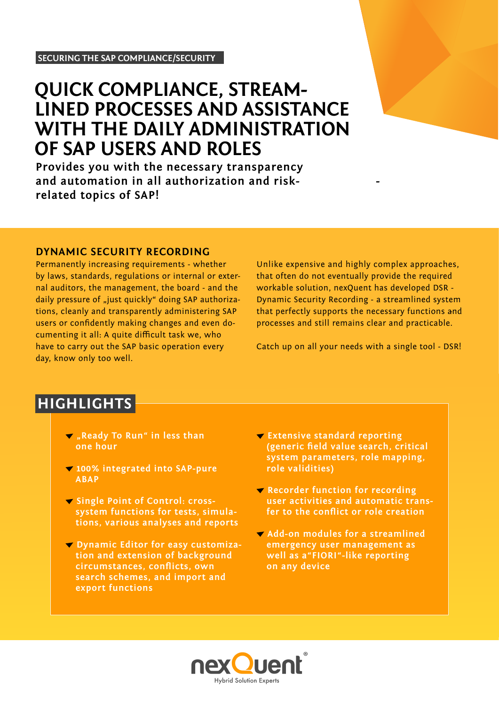# **QUICK COMPLIANCE, STREAM- LINED PROCESSES AND ASSISTANCE WITH THE DAILY ADMINISTRATION OF SAP USERS AND ROLES**

**Provides you with the necessary transparency and automation in all authorization and riskrelated topics of SAP!**

### **DYNAMIC SECURITY RECORDING**

Permanently increasing requirements - whether by laws, standards, regulations or internal or external auditors, the management, the board - and the daily pressure of "just quickly" doing SAP authorizations, cleanly and transparently administering SAP users or confidently making changes and even documenting it all: A quite difficult task we, who have to carry out the SAP basic operation every day, know only too well.

that perfectly supports the necessary functions and Unlike expensive and highly complex approaches, that often do not eventually provide the required workable solution, nexQuent has developed DSR - Dynamic Security Recording - a streamlined system processes and still remains clear and practicable.

**-**

Catch up on all your needs with a single tool - DSR!

# **HIGHLIGHTS**

- $\blacktriangledown$  "Ready To Run" in less than **one hour**
- **100% integrated into SAP-pure ABAP**
- **Single Point of Control: crosssystem functions for tests, simulations, various analyses and reports**
- **Dynamic Editor for easy customization and extension of background circumstances, conflicts, own search schemes, and import and export functions**
- **Extensive standard reporting (generic field value search, critical system parameters, role mapping, role validities)**
- **Recorder function for recording user activities and automatic transfer to the conflict or role creation**
- **Add-on modules for a streamlined emergency user management as well as a"FIORI"-like reporting on any device**